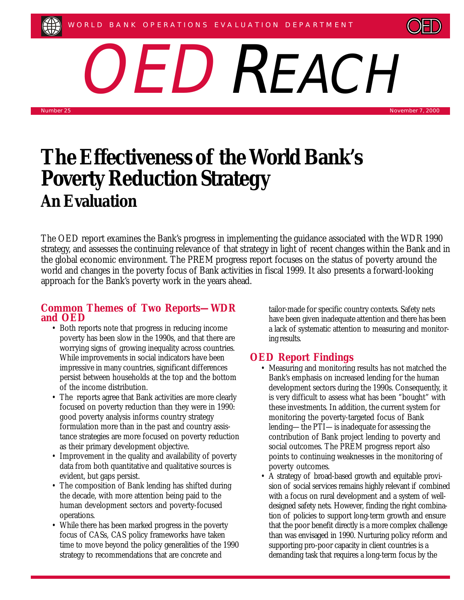

OED REACH

Number 25 November 7, 2000

# **The Effectiveness of the World Bank's Poverty Reduction Strategy An Evaluation**

The OED report examines the Bank's progress in implementing the guidance associated with the WDR 1990 strategy, and assesses the continuing relevance of that strategy in light of recent changes within the Bank and in the global economic environment. The PREM progress report focuses on the status of poverty around the world and changes in the poverty focus of Bank activities in fiscal 1999. It also presents a forward-looking approach for the Bank's poverty work in the years ahead.

#### **Common Themes of Two Reports—WDR and OED**

- Both reports note that progress in reducing income poverty has been slow in the 1990s, and that there are worrying signs of growing inequality across countries. While improvements in social indicators have been impressive in many countries, significant differences persist between households at the top and the bottom of the income distribution.
- The reports agree that Bank activities are more clearly focused on poverty reduction than they were in 1990: good poverty analysis informs country strategy formulation more than in the past and country assistance strategies are more focused on poverty reduction as their primary development objective.
- Improvement in the quality and availability of poverty data from both quantitative and qualitative sources is evident, but gaps persist.
- The composition of Bank lending has shifted during the decade, with more attention being paid to the human development sectors and poverty-focused operations.
- While there has been marked progress in the poverty focus of CASs, CAS policy frameworks have taken time to move beyond the policy generalities of the 1990 strategy to recommendations that are concrete and

tailor-made for specific country contexts. Safety nets have been given inadequate attention and there has been a lack of systematic attention to measuring and monitoring results.

## **OED Report Findings**

- Measuring and monitoring results has not matched the Bank's emphasis on increased lending for the human development sectors during the 1990s. Consequently, it is very difficult to assess what has been "bought" with these investments. In addition, the current system for monitoring the poverty-targeted focus of Bank lending—the PTI—is inadequate for assessing the contribution of Bank project lending to poverty and social outcomes. The PREM progress report also points to continuing weaknesses in the monitoring of poverty outcomes.
- A strategy of broad-based growth and equitable provision of social services remains highly relevant if combined with a focus on rural development and a system of welldesigned safety nets. However, finding the right combination of policies to support long-term growth and ensure that the poor benefit directly is a more complex challenge than was envisaged in 1990. Nurturing policy reform and supporting pro-poor capacity in client countries is a demanding task that requires a long-term focus by the